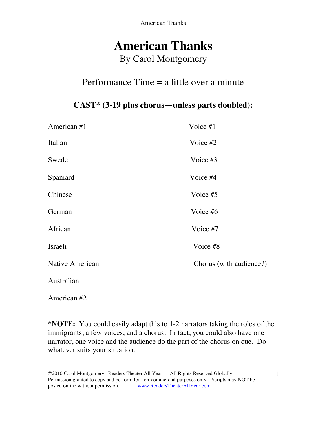American Thanks

# **American Thanks** By Carol Montgomery

### Performance Time  $=$  a little over a minute

### **CAST\* (3-19 plus chorus—unless parts doubled):**

| American #1     | Voice #1                |
|-----------------|-------------------------|
| Italian         | Voice $#2$              |
| Swede           | Voice #3                |
| Spaniard        | Voice #4                |
| Chinese         | Voice #5                |
| German          | Voice #6                |
| African         | Voice #7                |
| Israeli         | Voice #8                |
| Native American | Chorus (with audience?) |
| Australian      |                         |

American #2

**\*NOTE:** You could easily adapt this to 1-2 narrators taking the roles of the immigrants, a few voices, and a chorus. In fact, you could also have one narrator, one voice and the audience do the part of the chorus on cue. Do whatever suits your situation.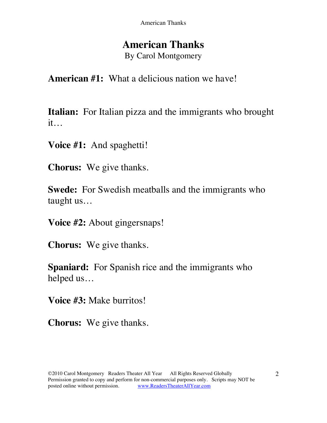## **American Thanks**

By Carol Montgomery

**American #1:** What a delicious nation we have!

**Italian:** For Italian pizza and the immigrants who brought it…

**Voice #1:** And spaghetti!

**Chorus:** We give thanks.

**Swede:** For Swedish meatballs and the immigrants who taught us…

**Voice #2:** About gingersnaps!

**Chorus:** We give thanks.

**Spaniard:** For Spanish rice and the immigrants who helped us…

**Voice #3:** Make burritos!

**Chorus:** We give thanks.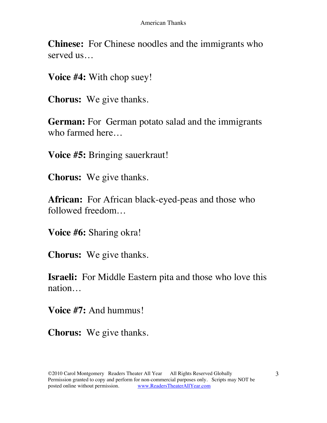**Chinese:** For Chinese noodles and the immigrants who served us…

**Voice #4:** With chop suey!

**Chorus:** We give thanks.

**German:** For German potato salad and the immigrants who farmed here…

**Voice #5:** Bringing sauerkraut!

**Chorus:** We give thanks.

**African:** For African black-eyed-peas and those who followed freedom…

**Voice #6:** Sharing okra!

**Chorus:** We give thanks.

**Israeli:** For Middle Eastern pita and those who love this nation…

**Voice #7:** And hummus!

**Chorus:** We give thanks.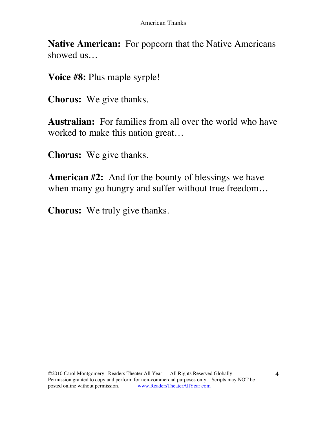**Native American:** For popcorn that the Native Americans showed us…

**Voice #8:** Plus maple syrple!

**Chorus:** We give thanks.

**Australian:** For families from all over the world who have worked to make this nation great…

**Chorus:** We give thanks.

**American #2:** And for the bounty of blessings we have when many go hungry and suffer without true freedom…

**Chorus:** We truly give thanks.